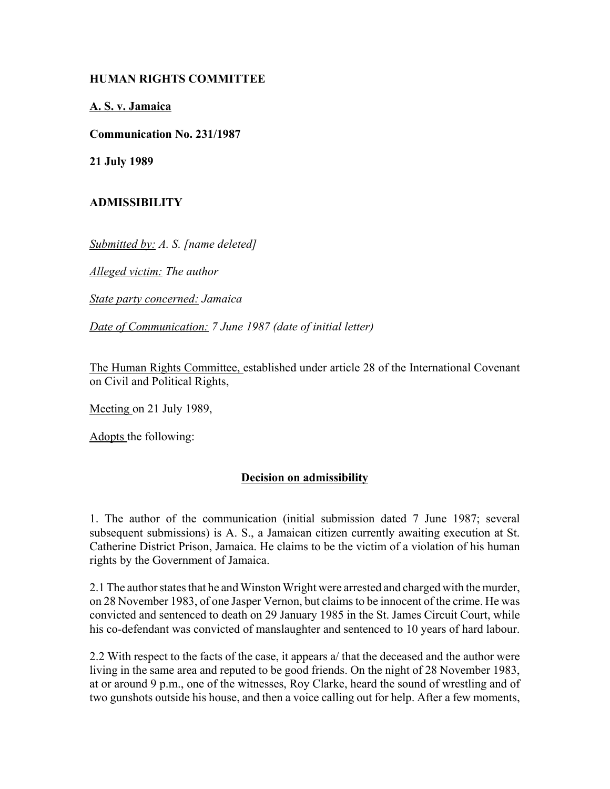## **HUMAN RIGHTS COMMITTEE**

**A. S. v. Jamaica**

**Communication No. 231/1987**

**21 July 1989**

## **ADMISSIBILITY**

*Submitted by: A. S. [name deleted]*

*Alleged victim: The author*

*State party concerned: Jamaica*

*Date of Communication: 7 June 1987 (date of initial letter)*

The Human Rights Committee, established under article 28 of the International Covenant on Civil and Political Rights,

Meeting on 21 July 1989,

Adopts the following:

## **Decision on admissibility**

1. The author of the communication (initial submission dated 7 June 1987; several subsequent submissions) is A. S., a Jamaican citizen currently awaiting execution at St. Catherine District Prison, Jamaica. He claims to be the victim of a violation of his human rights by the Government of Jamaica.

2.1 The author states that he and Winston Wright were arrested and charged with the murder, on 28 November 1983, of one Jasper Vernon, but claims to be innocent of the crime. He was convicted and sentenced to death on 29 January 1985 in the St. James Circuit Court, while his co-defendant was convicted of manslaughter and sentenced to 10 years of hard labour.

2.2 With respect to the facts of the case, it appears a/ that the deceased and the author were living in the same area and reputed to be good friends. On the night of 28 November 1983, at or around 9 p.m., one of the witnesses, Roy Clarke, heard the sound of wrestling and of two gunshots outside his house, and then a voice calling out for help. After a few moments,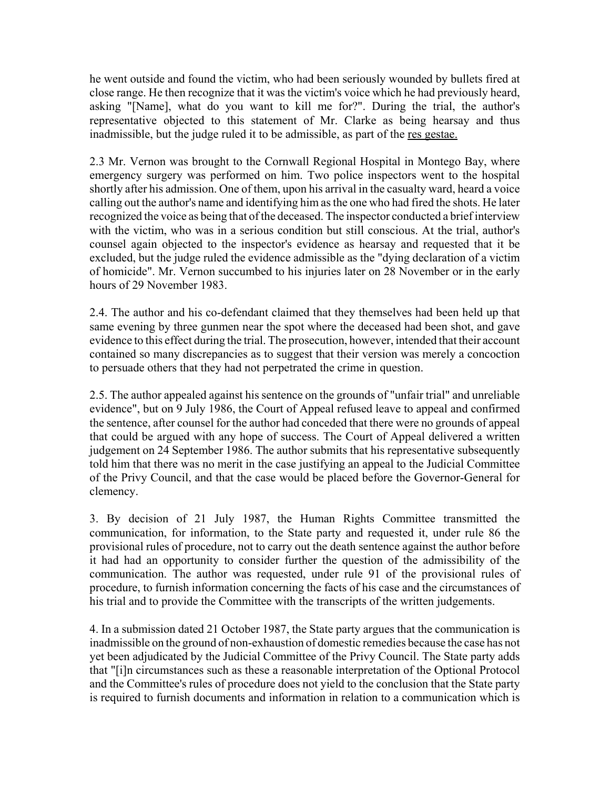he went outside and found the victim, who had been seriously wounded by bullets fired at close range. He then recognize that it was the victim's voice which he had previously heard, asking "[Name], what do you want to kill me for?". During the trial, the author's representative objected to this statement of Mr. Clarke as being hearsay and thus inadmissible, but the judge ruled it to be admissible, as part of the res gestae.

2.3 Mr. Vernon was brought to the Cornwall Regional Hospital in Montego Bay, where emergency surgery was performed on him. Two police inspectors went to the hospital shortly after his admission. One of them, upon his arrival in the casualty ward, heard a voice calling out the author's name and identifying him as the one who had fired the shots. He later recognized the voice as being that of the deceased. The inspector conducted a brief interview with the victim, who was in a serious condition but still conscious. At the trial, author's counsel again objected to the inspector's evidence as hearsay and requested that it be excluded, but the judge ruled the evidence admissible as the "dying declaration of a victim of homicide". Mr. Vernon succumbed to his injuries later on 28 November or in the early hours of 29 November 1983.

2.4. The author and his co-defendant claimed that they themselves had been held up that same evening by three gunmen near the spot where the deceased had been shot, and gave evidence to this effect during the trial. The prosecution, however, intended that their account contained so many discrepancies as to suggest that their version was merely a concoction to persuade others that they had not perpetrated the crime in question.

2.5. The author appealed against his sentence on the grounds of "unfair trial" and unreliable evidence", but on 9 July 1986, the Court of Appeal refused leave to appeal and confirmed the sentence, after counsel for the author had conceded that there were no grounds of appeal that could be argued with any hope of success. The Court of Appeal delivered a written judgement on 24 September 1986. The author submits that his representative subsequently told him that there was no merit in the case justifying an appeal to the Judicial Committee of the Privy Council, and that the case would be placed before the Governor-General for clemency.

3. By decision of 21 July 1987, the Human Rights Committee transmitted the communication, for information, to the State party and requested it, under rule 86 the provisional rules of procedure, not to carry out the death sentence against the author before it had had an opportunity to consider further the question of the admissibility of the communication. The author was requested, under rule 91 of the provisional rules of procedure, to furnish information concerning the facts of his case and the circumstances of his trial and to provide the Committee with the transcripts of the written judgements.

4. In a submission dated 21 October 1987, the State party argues that the communication is inadmissible on the ground of non-exhaustion of domestic remedies because the case has not yet been adjudicated by the Judicial Committee of the Privy Council. The State party adds that "[i]n circumstances such as these a reasonable interpretation of the Optional Protocol and the Committee's rules of procedure does not yield to the conclusion that the State party is required to furnish documents and information in relation to a communication which is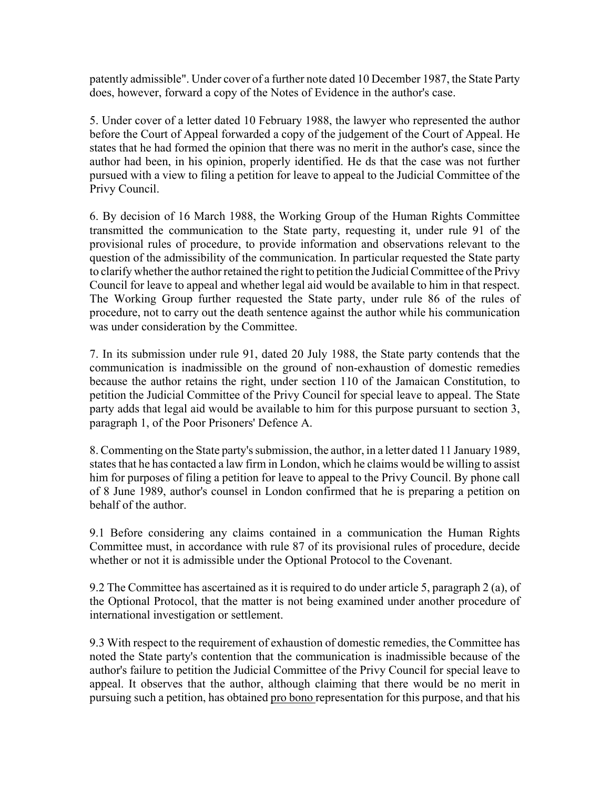patently admissible". Under cover of a further note dated 10 December 1987, the State Party does, however, forward a copy of the Notes of Evidence in the author's case.

5. Under cover of a letter dated 10 February 1988, the lawyer who represented the author before the Court of Appeal forwarded a copy of the judgement of the Court of Appeal. He states that he had formed the opinion that there was no merit in the author's case, since the author had been, in his opinion, properly identified. He ds that the case was not further pursued with a view to filing a petition for leave to appeal to the Judicial Committee of the Privy Council.

6. By decision of 16 March 1988, the Working Group of the Human Rights Committee transmitted the communication to the State party, requesting it, under rule 91 of the provisional rules of procedure, to provide information and observations relevant to the question of the admissibility of the communication. In particular requested the State party to clarify whether the author retained the right to petition the Judicial Committee of the Privy Council for leave to appeal and whether legal aid would be available to him in that respect. The Working Group further requested the State party, under rule 86 of the rules of procedure, not to carry out the death sentence against the author while his communication was under consideration by the Committee.

7. In its submission under rule 91, dated 20 July 1988, the State party contends that the communication is inadmissible on the ground of non-exhaustion of domestic remedies because the author retains the right, under section 110 of the Jamaican Constitution, to petition the Judicial Committee of the Privy Council for special leave to appeal. The State party adds that legal aid would be available to him for this purpose pursuant to section 3, paragraph 1, of the Poor Prisoners' Defence A.

8. Commenting on the State party's submission, the author, in a letter dated 11 January 1989, states that he has contacted a law firm in London, which he claims would be willing to assist him for purposes of filing a petition for leave to appeal to the Privy Council. By phone call of 8 June 1989, author's counsel in London confirmed that he is preparing a petition on behalf of the author.

9.1 Before considering any claims contained in a communication the Human Rights Committee must, in accordance with rule 87 of its provisional rules of procedure, decide whether or not it is admissible under the Optional Protocol to the Covenant.

9.2 The Committee has ascertained as it is required to do under article 5, paragraph 2 (a), of the Optional Protocol, that the matter is not being examined under another procedure of international investigation or settlement.

9.3 With respect to the requirement of exhaustion of domestic remedies, the Committee has noted the State party's contention that the communication is inadmissible because of the author's failure to petition the Judicial Committee of the Privy Council for special leave to appeal. It observes that the author, although claiming that there would be no merit in pursuing such a petition, has obtained pro bono representation for this purpose, and that his